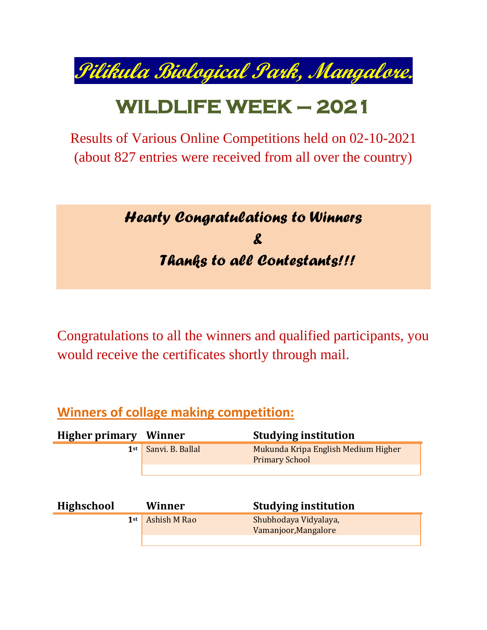**Pilikula Biological Park, Mangalore.**

# **WILDLIFE WEEK – 2021**

Results of Various Online Competitions held on 02-10-2021 (about 827 entries were received from all over the country)

## *Hearty Congratulations to Winners & Thanks to all Contestants!!!*

Congratulations to all the winners and qualified participants, you would receive the certificates shortly through mail.

#### **Winners of collage making competition:**

| <b>Higher primary</b> | Winner           | <b>Studying institution</b>                                  |
|-----------------------|------------------|--------------------------------------------------------------|
| 1st                   | Sanvi. B. Ballal | Mukunda Kripa English Medium Higher<br><b>Primary School</b> |
|                       |                  |                                                              |
| <b>Highschool</b>     | Winner           | <b>Studying institution</b>                                  |
| $1$ st                | Ashish M Rao     | Shubhodaya Vidyalaya,<br>Vamanjoor, Mangalore                |
|                       |                  |                                                              |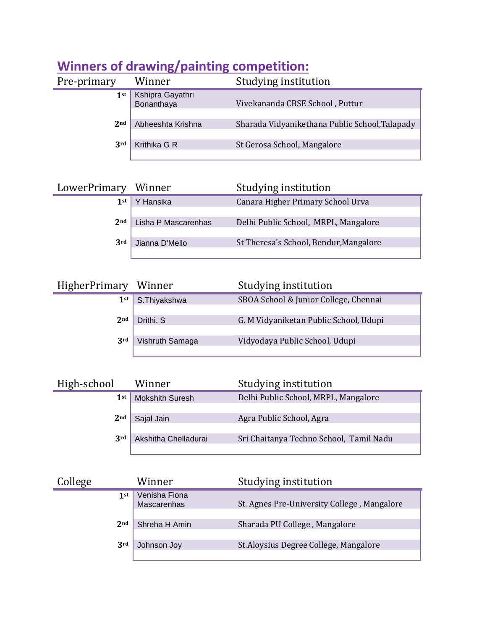| Pre-primary     | Winner                         | Studying institution                           |
|-----------------|--------------------------------|------------------------------------------------|
| 1st             | Kshipra Gayathri<br>Bonanthaya | Vivekananda CBSE School, Puttur                |
| 2 <sub>nd</sub> | Abheeshta Krishna              | Sharada Vidyanikethana Public School, Talapady |
| 3rd             | Krithika G R                   | St Gerosa School, Mangalore                    |

### **Winners of drawing/painting competition:**

| LowerPrimary    | Winner              | Studying institution                   |
|-----------------|---------------------|----------------------------------------|
| $1$ st          | Hansika             | Canara Higher Primary School Urva      |
| 2 <sub>nd</sub> | Lisha P Mascarenhas | Delhi Public School, MRPL, Mangalore   |
| 3rd             | Jianna D'Mello      | St Theresa's School, Bendur, Mangalore |

| HigherPrimary Winner |                 | Studying institution                   |
|----------------------|-----------------|----------------------------------------|
| $1$ st               | S.Thiyakshwa    | SBOA School & Junior College, Chennai  |
| 2 <sub>nd</sub>      | Drithi. S       | G. M Vidyaniketan Public School, Udupi |
| 3 <sup>rd</sup>      | Vishruth Samaga | Vidyodaya Public School, Udupi         |

| High-school     | Winner                 | Studying institution                    |
|-----------------|------------------------|-----------------------------------------|
| 1st             | <b>Mokshith Suresh</b> | Delhi Public School, MRPL, Mangalore    |
| 2 <sub>nd</sub> | Sajal Jain             | Agra Public School, Agra                |
| 3rd             | Akshitha Chelladurai   | Sri Chaitanya Techno School, Tamil Nadu |

| College |                 | Winner                       | Studying institution                        |
|---------|-----------------|------------------------------|---------------------------------------------|
|         | $1$ st          | Venisha Fiona<br>Mascarenhas | St. Agnes Pre-University College, Mangalore |
|         | 2 <sub>nd</sub> | Shreha H Amin                | Sharada PU College, Mangalore               |
|         | 3rd             | Johnson Joy                  | St. Aloysius Degree College, Mangalore      |